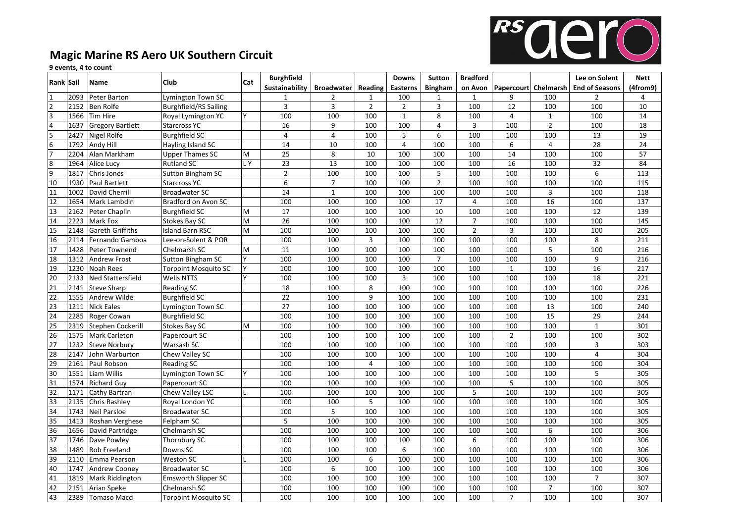

## **Magic Marine RS Aero UK Southern Circuit**

## events, 4 to count

| Rank Sail                                               |      | Name                     | <b>Club</b>                 | Cat | <b>Burghfield</b> |                   |                | <b>Downs</b>   | <b>Sutton</b>   | <b>Bradford</b> |                  |                | Lee on Solent                                     | <b>Nett</b>      |
|---------------------------------------------------------|------|--------------------------|-----------------------------|-----|-------------------|-------------------|----------------|----------------|-----------------|-----------------|------------------|----------------|---------------------------------------------------|------------------|
|                                                         |      |                          |                             |     | Sustainability    | <b>Broadwater</b> | Reading        | Easterns       | <b>Bingham</b>  |                 |                  |                | on Avon   Papercourt   Chelmarsh   End of Seasons | (4from9)         |
| $\mathbf{1}$                                            | 2093 | Peter Barton             | Lymington Town SC           |     | $\mathbf{1}$      | $\overline{2}$    | $\mathbf{1}$   | 100            | $\mathbf{1}$    | 1               | 9                | 100            | $\overline{2}$                                    | 4                |
|                                                         | 2152 | Ben Rolfe                | Burghfield/RS Sailing       |     | $\overline{3}$    | $\overline{3}$    | $\overline{2}$ | $\overline{2}$ | 3               | 100             | 12               | 100            | 100                                               | 10               |
| $\frac{2}{3}$ $\frac{3}{4}$ $\frac{5}{5}$ $\frac{6}{7}$ | 1566 | <b>Tim Hire</b>          | <b>Royal Lymington YC</b>   | lY. | 100               | 100               | 100            | $\mathbf{1}$   | 8               | 100             | $\overline{4}$   | $\mathbf{1}$   | 100                                               | 14               |
|                                                         | 1637 | <b>Gregory Bartlett</b>  | Starcross YC                |     | 16                | 9                 | 100            | 100            | 4               | 3               | 100              | $\overline{2}$ | 100                                               | 18               |
|                                                         | 2427 | Nigel Rolfe              | Burghfield SC               |     | $\overline{4}$    | $\overline{4}$    | 100            | 5              | 6               | 100             | 100              | 100            | 13                                                | 19               |
|                                                         | 1792 | Andy Hill                | Hayling Island SC           |     | 14                | 10                | 100            | $\overline{4}$ | 100             | 100             | $\boldsymbol{6}$ | $\overline{4}$ | 28                                                | 24               |
|                                                         | 2204 | Alan Markham             | Upper Thames SC             | M   | 25                | 8                 | 10             | 100            | 100             | 100             | 14               | 100            | 100                                               | 57               |
| $\frac{8}{9}$                                           | 1964 | Alice Lucy               | <b>Rutland SC</b>           | LY. | $\overline{23}$   | $\overline{13}$   | 100            | 100            | 100             | 100             | 16               | 100            | $\overline{32}$                                   | 84               |
|                                                         | 1817 | Chris Jones              | Sutton Bingham SC           |     | $\overline{2}$    | 100               | 100            | 100            | 5               | 100             | 100              | 100            | 6                                                 | 113              |
| $\overline{10}$                                         | 1930 | Paul Bartlett            | Starcross YC                |     | 6                 | $\overline{7}$    | 100            | 100            | $\overline{2}$  | 100             | 100              | 100            | 100                                               | 115              |
| $\overline{11}$                                         | 1002 | David Cherrill           | <b>Broadwater SC</b>        |     | 14                | $\mathbf 1$       | 100            | 100            | 100             | 100             | 100              | $\overline{3}$ | 100                                               | 118              |
| $\overline{12}$                                         | 1654 | Mark Lambdin             | Bradford on Avon SC         |     | 100               | 100               | 100            | 100            | 17              | $\overline{4}$  | 100              | 16             | 100                                               | $\frac{137}{ }$  |
| 13                                                      | 2162 | Peter Chaplin            | Burghfield SC               | M   | 17                | 100               | 100            | 100            | 10              | 100             | 100              | 100            | 12                                                | 139              |
| $\overline{14}$                                         | 2223 | Mark Fox                 | Stokes Bay SC               | M   | $\overline{26}$   | 100               | 100            | 100            | $\overline{12}$ | $\overline{7}$  | 100              | 100            | 100                                               | 145              |
| $\overline{15}$                                         | 2148 | <b>Gareth Griffiths</b>  | Island Barn RSC             | M   | 100               | 100               | 100            | 100            | 100             | $\overline{2}$  | $\overline{3}$   | 100            | 100                                               | $\overline{205}$ |
| 16                                                      | 2114 | Fernando Gamboa          | Lee-on-Solent & POR         |     | 100               | 100               | $\overline{3}$ | 100            | 100             | 100             | 100              | 100            | 8                                                 | 211              |
| 17                                                      | 1428 | Peter Townend            | Chelmarsh SC                | M   | 11                | 100               | 100            | 100            | 100             | 100             | 100              | 5              | 100                                               | 216              |
| 18                                                      | 1312 | <b>Andrew Frost</b>      | Sutton Bingham SC           |     | 100               | 100               | 100            | 100            | $\overline{7}$  | 100             | 100              | 100            | 9                                                 | 216              |
| 19                                                      | 1230 | <b>Noah Rees</b>         | <b>Torpoint Mosquito SC</b> |     | 100               | 100               | 100            | 100            | 100             | 100             | $\mathbf{1}$     | 100            | 16                                                | $\overline{217}$ |
| $\overline{20}$                                         | 2133 | <b>Ned Stattersfield</b> | <b>Wells NTTS</b>           |     | 100               | 100               | 100            | 3              | 100             | 100             | 100              | 100            | $\overline{18}$                                   | 221              |
| $\overline{21}$                                         | 2141 | <b>Steve Sharp</b>       | <b>Reading SC</b>           |     | 18                | 100               | 8              | 100            | 100             | 100             | 100              | 100            | 100                                               | 226              |
| $\frac{22}{23}$                                         | 1555 | Andrew Wilde             | Burghfield SC               |     | 22                | 100               | 9              | 100            | 100             | 100             | 100              | 100            | 100                                               | $\overline{231}$ |
|                                                         | 1211 | <b>Nick Eales</b>        | Lymington Town SC           |     | 27                | 100               | 100            | 100            | 100             | 100             | 100              | 13             | 100                                               | 240              |
| $\overline{24}$                                         | 2285 | Roger Cowan              | Burghfield SC               |     | 100               | 100               | 100            | 100            | 100             | 100             | 100              | 15             | 29                                                | 244              |
|                                                         | 2319 | Stephen Cockerill        | Stokes Bay SC               | lм  | 100               | 100               | 100            | 100            | 100             | 100             | 100              | 100            | $\mathbf{1}$                                      | 301              |
| $\frac{25}{26}$                                         | 1575 | <b>Mark Carleton</b>     | Papercourt SC               |     | 100               | 100               | 100            | 100            | 100             | 100             | $\overline{2}$   | 100            | 100                                               | 302              |
| $\overline{27}$                                         | 1232 | <b>Steve Norbury</b>     | Warsash SC                  |     | 100               | 100               | 100            | 100            | 100             | 100             | 100              | 100            | 3                                                 | $\overline{303}$ |
| 28                                                      | 2147 | John Warburton           | Chew Valley SC              |     | 100               | 100               | 100            | 100            | 100             | 100             | 100              | 100            | $\overline{4}$                                    | 304              |
| 29                                                      | 2161 | Paul Robson              | <b>Reading SC</b>           |     | 100               | 100               | $\overline{4}$ | 100            | 100             | 100             | 100              | 100            | 100                                               | 304              |
| $\overline{30}$                                         | 1551 | Liam Willis              | Lymington Town SC           | γ   | 100               | 100               | 100            | 100            | 100             | 100             | 100              | 100            | 5                                                 | 305              |
| $\overline{31}$                                         | 1574 | <b>Richard Guy</b>       | Papercourt SC               |     | 100               | 100               | 100            | 100            | 100             | 100             | 5                | 100            | 100                                               | 305              |
| $\overline{32}$                                         | 1171 | Cathy Bartran            | Chew Valley LSC             |     | 100               | 100               | 100            | 100            | 100             | 5               | 100              | 100            | 100                                               | 305              |
| $\overline{33}$                                         | 2135 | Chris Rashley            | Royal London YC             |     | 100               | 100               | 5              | 100            | 100             | 100             | 100              | 100            | 100                                               | $\overline{305}$ |
| 34                                                      | 1743 | Neil Parsloe             | Broadwater SC               |     | 100               | 5                 | 100            | 100            | 100             | 100             | 100              | 100            | 100                                               | 305              |
| $\overline{\overline{35}}$                              | 1413 | Roshan Verghese          | Felpham SC                  |     | $\overline{5}$    | 100               | 100            | 100            | 100             | 100             | 100              | 100            | 100                                               | 305              |
| $\overline{36}$                                         | 1656 | David Partridge          | Chelmarsh SC                |     | 100               | 100               | 100            | 100            | 100             | 100             | 100              | 6              | 100                                               | 306              |
| $\overline{37}$                                         | 1746 | Dave Powley              | Thornbury SC                |     | 100               | 100               | 100            | 100            | 100             | 6               | 100              | 100            | 100                                               | 306              |
| 38                                                      | 1489 | Rob Freeland             | Downs SC                    |     | 100               | 100               | 100            | 6              | 100             | 100             | 100              | 100            | 100                                               | 306              |
| 39                                                      | 2110 | Emma Pearson             | Weston SC                   |     | 100               | 100               | 6              | 100            | 100             | 100             | 100              | 100            | 100                                               | $\overline{306}$ |
| $\overline{40}$                                         | 1747 | Andrew Cooney            | Broadwater SC               |     | 100               | 6                 | 100            | 100            | 100             | 100             | 100              | 100            | 100                                               | 306              |
| 41                                                      | 1819 | <b>Mark Riddington</b>   | <b>Emsworth Slipper SC</b>  |     | 100               | 100               | 100            | 100            | 100             | 100             | 100              | 100            | $\overline{7}$                                    | 307              |
| $\overline{42}$                                         | 2151 | Arian Speke              | Chelmarsh SC                |     | 100               | 100               | 100            | 100            | 100             | 100             | 100              | $\overline{7}$ | 100                                               | $\overline{307}$ |
| 43                                                      | 2389 | <b>Tomaso Macci</b>      | <b>Torpoint Mosquito SC</b> |     | 100               | 100               | 100            | 100            | 100             | 100             | $\overline{7}$   | 100            | 100                                               | 307              |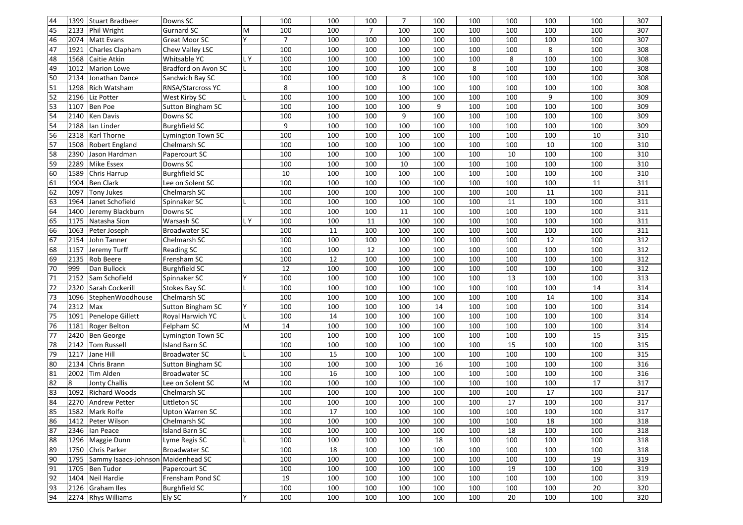| 44              | 1399 | Stuart Bradbeer                    | Downs SC                 |     | 100            | 100 | 100            | $\overline{7}$ | 100 | 100 | 100 | 100     | 100    | 307 |
|-----------------|------|------------------------------------|--------------------------|-----|----------------|-----|----------------|----------------|-----|-----|-----|---------|--------|-----|
| 45              | 2133 | Phil Wright                        | <b>Gurnard SC</b>        | M   | 100            | 100 | $\overline{7}$ | 100            | 100 | 100 | 100 | 100     | 100    | 307 |
| 46              | 2074 | <b>Matt Evans</b>                  | Great Moor SC            | Y   | $\overline{7}$ | 100 | 100            | 100            | 100 | 100 | 100 | 100     | 100    | 307 |
| $\overline{47}$ | 1921 | Charles Clapham                    | Chew Valley LSC          |     | 100            | 100 | 100            | 100            | 100 | 100 | 100 | 8       | 100    | 308 |
| 48              | 1568 | Caitie Atkin                       | Whitsable YC             | LY  | 100            | 100 | 100            | 100            | 100 | 100 | 8   | 100     | 100    | 308 |
| 49              | 1012 | <b>Marion Lowe</b>                 | Bradford on Avon SC      |     | 100            | 100 | 100            | 100            | 100 | 8   | 100 | 100     | 100    | 308 |
| 50              | 2134 | Jonathan Dance                     | Sandwich Bay SC          |     | 100            | 100 | 100            | 8              | 100 | 100 | 100 | 100     | 100    | 308 |
| $\overline{51}$ | 1298 | Rich Watsham                       | <b>RNSA/Starcross YC</b> |     | 8              | 100 | 100            | 100            | 100 | 100 | 100 | 100     | 100    | 308 |
| 52              | 2196 | Liz Potter                         | West Kirby SC            |     | 100            | 100 | 100            | 100            | 100 | 100 | 100 | 9       | 100    | 309 |
| 53              | 1107 | Ben Poe                            | Sutton Bingham SC        |     | 100            | 100 | 100            | 100            | 9   | 100 | 100 | 100     | 100    | 309 |
| 54              | 2140 | Ken Davis                          | Downs SC                 |     | 100            | 100 | 100            | 9              | 100 | 100 | 100 | 100     | 100    | 309 |
| 54              | 2188 | lan Linder                         | <b>Burghfield SC</b>     |     | 9              | 100 | 100            | 100            | 100 | 100 | 100 | 100     | 100    | 309 |
| 56              | 2318 | Karl Thorne                        | Lymington Town SC        |     | 100            | 100 | 100            | 100            | 100 | 100 | 100 | 100     | 10     | 310 |
| $\overline{57}$ | 1508 | Robert England                     | Chelmarsh SC             |     | 100            | 100 | 100            | 100            | 100 | 100 | 100 | 10      | 100    | 310 |
| 58              | 2390 | Jason Hardman                      | Papercourt SC            |     | 100            | 100 | 100            | 100            | 100 | 100 | 10  | 100     | 100    | 310 |
| 59              | 2289 | <b>Mike Essex</b>                  | Downs SC                 |     | 100            | 100 | 100            | 10             | 100 | 100 | 100 | 100     | 100    | 310 |
| 60              | 1589 | Chris Harrup                       | <b>Burghfield SC</b>     |     | 10             | 100 | 100            | 100            | 100 | 100 | 100 | 100     | 100    | 310 |
| 61              | 1904 | Ben Clark                          | Lee on Solent SC         |     | 100            | 100 | 100            | 100            | 100 | 100 | 100 | 100     | 11     | 311 |
| 62              | 1097 | <b>Tony Jukes</b>                  | Chelmarsh SC             |     | 100            | 100 | 100            | 100            | 100 | 100 | 100 | 11      | 100    | 311 |
| 63              | 1964 | Janet Schofield                    | Spinnaker SC             |     | 100            | 100 | 100            | 100            | 100 | 100 | 11  | 100     | 100    | 311 |
| 64              | 1400 | Jeremy Blackburn                   | Downs SC                 |     | 100            | 100 | 100            | 11             | 100 | 100 | 100 | 100     | 100    | 311 |
| 65              | 1175 | Natasha Sion                       | Warsash SC               | LY. | 100            | 100 | 11             | 100            | 100 | 100 | 100 | 100     | 100    | 311 |
| 66              | 1063 | Peter Joseph                       | <b>Broadwater SC</b>     |     | 100            | 11  | 100            | 100            | 100 | 100 | 100 | 100     | 100    | 311 |
| 67              | 2154 | John Tanner                        | Chelmarsh SC             |     | 100            | 100 | 100            | 100            | 100 | 100 | 100 | 12      | 100    | 312 |
| 68              | 1157 | Jeremy Turff                       | <b>Reading SC</b>        |     | 100            | 100 | 12             | 100            | 100 | 100 | 100 | 100     | 100    | 312 |
| 69              | 2135 | Rob Beere                          | Frensham SC              |     | 100            | 12  | 100            | 100            | 100 | 100 | 100 | 100     | 100    | 312 |
| 70              | 999  | Dan Bullock                        | <b>Burghfield SC</b>     |     | 12             | 100 | 100            | 100            | 100 | 100 | 100 | 100     | 100    | 312 |
| 71              | 2152 | Sam Schofield                      | Spinnaker SC             | Y   | 100            | 100 | 100            | 100            | 100 | 100 | 13  | 100     | 100    | 313 |
| $\overline{72}$ | 2320 | Sarah Cockerill                    | <b>Stokes Bay SC</b>     |     | 100            | 100 | 100            | 100            | 100 | 100 | 100 | 100     | 14     | 314 |
| 73              | 1096 | StephenWoodhouse                   | Chelmarsh SC             |     | 100            | 100 | 100            | 100            | 100 | 100 | 100 | 14      | 100    | 314 |
| 74              | 2312 | Max                                | Sutton Bingham SC        | Υ   | 100            | 100 | 100            | 100            | 14  | 100 | 100 | 100     | 100    | 314 |
| 75              | 1091 | Penelope Gillett                   | Royal Harwich YC         |     | 100            | 14  | 100            | 100            | 100 | 100 | 100 | 100     | 100    | 314 |
| $\overline{76}$ | 1181 | Roger Belton                       | Felpham SC               | M   | 14             | 100 | 100            | 100            | 100 | 100 | 100 | 100     | 100    | 314 |
| 77              | 2420 | Ben George                         | Lymington Town SC        |     | 100            | 100 | 100            | 100            | 100 | 100 | 100 | 100     | 15     | 315 |
| 78              | 2142 | Tom Russell                        | <b>Island Barn SC</b>    |     | 100            | 100 | 100            | 100            | 100 | 100 | 15  | 100     | 100    | 315 |
| 79              | 1217 | Jane Hill                          | <b>Broadwater SC</b>     |     | 100            | 15  | 100            | 100            | 100 | 100 | 100 | 100     | 100    | 315 |
| 80              | 2134 | Chris Brann                        | Sutton Bingham SC        |     | 100            | 100 | 100            | 100            | 16  | 100 | 100 | 100     | 100    | 316 |
| 81              | 2002 | Tim Alden                          | Broadwater SC            |     | 100            | 16  | 100            | 100            | 100 | 100 | 100 | 100     | 100    | 316 |
| 82              | 8    | Jonty Challis                      | Lee on Solent SC         | M   | 100            | 100 | 100            | 100            | 100 | 100 | 100 | 100     | $17\,$ | 317 |
| 83              | 1092 | <b>Richard Woods</b>               | Chelmarsh SC             |     | 100            | 100 | 100            | 100            | 100 | 100 | 100 | 17      | 100    | 317 |
| 84              |      | 2270 Andrew Petter                 | Littleton SC             |     | 100            | 100 | 100            | 100            | 100 | 100 | 17  | 100     | 100    | 317 |
| 85              |      | 1582 Mark Rolfe                    | <b>Upton Warren SC</b>   |     | 100            | 17  | 100            | 100            | 100 | 100 | 100 | $100\,$ | 100    | 317 |
| 86              |      | 1412 Peter Wilson                  | Chelmarsh SC             |     | 100            | 100 | 100            | 100            | 100 | 100 | 100 | 18      | 100    | 318 |
| 87              | 2346 | lan Peace                          | Island Barn SC           |     | 100            | 100 | 100            | 100            | 100 | 100 | 18  | 100     | 100    | 318 |
| 88              |      | 1296   Maggie Dunn                 | Lyme Regis SC            |     | 100            | 100 | 100            | 100            | 18  | 100 | 100 | 100     | 100    | 318 |
| 89              | 1750 | Chris Parker                       | <b>Broadwater SC</b>     |     | 100            | 18  | 100            | 100            | 100 | 100 | 100 | 100     | 100    | 318 |
| 90              | 1795 | Sammy Isaacs-Johnson Maidenhead SC |                          |     | 100            | 100 | 100            | 100            | 100 | 100 | 100 | 100     | 19     | 319 |
| 91              | 1705 | <b>Ben Tudor</b>                   | Papercourt SC            |     | 100            | 100 | 100            | 100            | 100 | 100 | 19  | 100     | 100    | 319 |
| 92              | 1404 | Neil Hardie                        | Frensham Pond SC         |     | 19             | 100 | 100            | 100            | 100 | 100 | 100 | 100     | 100    | 319 |
| 93              | 2126 | Graham Iles                        | <b>Burghfield SC</b>     |     | 100            | 100 | 100            | 100            | 100 | 100 | 100 | 100     | 20     | 320 |
| 94              |      | 2274 Rhys Williams                 | Ely SC                   | Υ   | 100            | 100 | 100            | 100            | 100 | 100 | 20  | 100     | 100    | 320 |